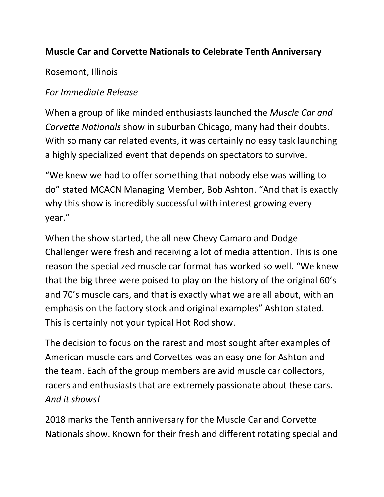## **Muscle Car and Corvette Nationals to Celebrate Tenth Anniversary**

Rosemont, Illinois

## *For Immediate Release*

When a group of like minded enthusiasts launched the *Muscle Car and Corvette Nationals* show in suburban Chicago, many had their doubts. With so many car related events, it was certainly no easy task launching a highly specialized event that depends on spectators to survive.

"We knew we had to offer something that nobody else was willing to do" stated MCACN Managing Member, Bob Ashton. "And that is exactly why this show is incredibly successful with interest growing every year."

When the show started, the all new Chevy Camaro and Dodge Challenger were fresh and receiving a lot of media attention. This is one reason the specialized muscle car format has worked so well. "We knew that the big three were poised to play on the history of the original 60's and 70's muscle cars, and that is exactly what we are all about, with an emphasis on the factory stock and original examples" Ashton stated. This is certainly not your typical Hot Rod show.

The decision to focus on the rarest and most sought after examples of American muscle cars and Corvettes was an easy one for Ashton and the team. Each of the group members are avid muscle car collectors, racers and enthusiasts that are extremely passionate about these cars. *And it shows!*

2018 marks the Tenth anniversary for the Muscle Car and Corvette Nationals show. Known for their fresh and different rotating special and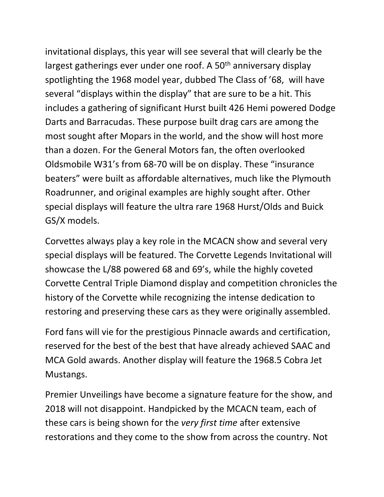invitational displays, this year will see several that will clearly be the largest gatherings ever under one roof. A  $50<sup>th</sup>$  anniversary display spotlighting the 1968 model year, dubbed The Class of '68, will have several "displays within the display" that are sure to be a hit. This includes a gathering of significant Hurst built 426 Hemi powered Dodge Darts and Barracudas. These purpose built drag cars are among the most sought after Mopars in the world, and the show will host more than a dozen. For the General Motors fan, the often overlooked Oldsmobile W31's from 68-70 will be on display. These "insurance beaters" were built as affordable alternatives, much like the Plymouth Roadrunner, and original examples are highly sought after. Other special displays will feature the ultra rare 1968 Hurst/Olds and Buick GS/X models.

Corvettes always play a key role in the MCACN show and several very special displays will be featured. The Corvette Legends Invitational will showcase the L/88 powered 68 and 69's, while the highly coveted Corvette Central Triple Diamond display and competition chronicles the history of the Corvette while recognizing the intense dedication to restoring and preserving these cars as they were originally assembled.

Ford fans will vie for the prestigious Pinnacle awards and certification, reserved for the best of the best that have already achieved SAAC and MCA Gold awards. Another display will feature the 1968.5 Cobra Jet Mustangs.

Premier Unveilings have become a signature feature for the show, and 2018 will not disappoint. Handpicked by the MCACN team, each of these cars is being shown for the *very first time* after extensive restorations and they come to the show from across the country. Not